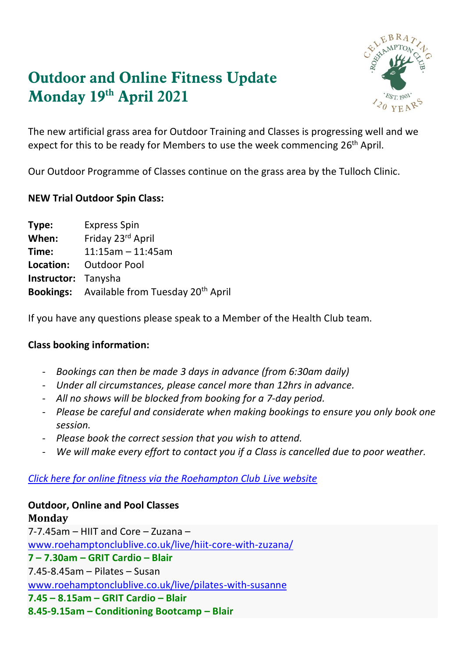# **Outdoor and Online Fitness Update Monday 19 th April 2021**



The new artificial grass area for Outdoor Training and Classes is progressing well and we expect for this to be ready for Members to use the week commencing 26<sup>th</sup> April.

Our Outdoor Programme of Classes continue on the grass area by the Tulloch Clinic.

#### **NEW Trial Outdoor Spin Class:**

| Type:                      | <b>Express Spin</b>                                            |
|----------------------------|----------------------------------------------------------------|
| When:                      | Friday 23rd April                                              |
| Time:                      | $11:15$ am - 11:45am                                           |
|                            | <b>Location:</b> Outdoor Pool                                  |
| <b>Instructor:</b> Tanysha |                                                                |
|                            | <b>Bookings:</b> Available from Tuesday 20 <sup>th</sup> April |

If you have any questions please speak to a Member of the Health Club team.

## **Class booking information:**

- *Bookings can then be made 3 days in advance (from 6:30am daily)*
- *Under all circumstances, please cancel more than 12hrs in advance.*
- *All no shows will be blocked from booking for a 7-day period.*
- *Please be careful and considerate when making bookings to ensure you only book one session.*
- *Please book the correct session that you wish to attend.*
- We will make every effort to contact you if a Class is cancelled due to poor weather.

## *[Click here for online fitness via the Roehampton Club Live website](https://www.roehamptonclublive.co.uk/)*

# **Outdoor, Online and Pool Classes**

**Monday** 7-7.45am – HIIT and Core – Zuzana – [www.roehamptonclublive.co.uk/live/hiit-core-with-zuzana/](http://www.roehamptonclublive.co.uk/live/hiit-core-with-zuzana/) **7 – 7.30am – GRIT Cardio – Blair** 7.45-8.45am – Pilates – Susan [www.roehamptonclublive.co.uk/live/pilates-with-susanne](http://www.roehamptonclublive.co.uk/live/pilates-with-susanne) **7.45 – 8.15am – GRIT Cardio – Blair 8.45-9.15am – Conditioning Bootcamp – Blair**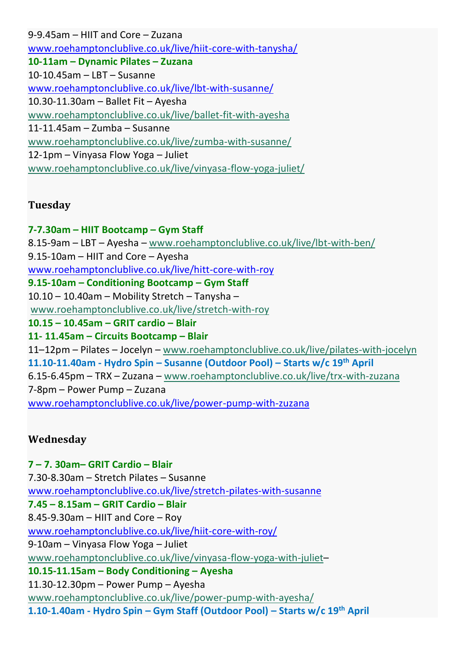9-9.45am – HIIT and Core – Zuzana [www.roehamptonclublive.co.uk/live/hiit-core-with-tanysha/](http://www.roehamptonclublive.co.uk/live/hiit-core-with-tanysha/) **10-11am – Dynamic Pilates – Zuzana** 10-10.45am – LBT – Susanne [www.roehamptonclublive.co.uk/live/lbt-with-susanne/](http://www.roehamptonclublive.co.uk/live/lbt-with-susanne/) 10.30-11.30am – Ballet Fit – Ayesha [www.roehamptonclublive.co.uk/live/ballet-fit-with-ayesha](https://www.roehamptonclublive.co.uk/live/ballet-fit-with-ayesha) 11-11.45am – Zumba – Susanne [www.roehamptonclublive.co.uk/live/zumba-with-susanne/](https://www.roehamptonclublive.co.uk/live/zumba-with-susanne/) 12-1pm – Vinyasa Flow Yoga – Juliet [www.roehamptonclublive.co.uk/live/vinyasa-flow-yoga-juliet/](https://www.roehamptonclublive.co.uk/live/vinyasa-flow-yoga-juliet/)

## **Tuesday**

**7-7.30am – HIIT Bootcamp – Gym Staff** 8.15-9am – LBT – Ayesha – [www.roehamptonclublive.co.uk/live/lbt-with-ben/](https://www.roehamptonclublive.co.uk/live/lbt-with-ben/) 9.15-10am – HIIT and Core – Ayesha [www.roehamptonclublive.co.uk/live/hitt-core-with-roy](http://www.roehamptonclublive.co.uk/live/hitt-core-with-roy) **9.15-10am – Conditioning Bootcamp – Gym Staff** 10.10 – 10.40am – Mobility Stretch – Tanysha – [www.roehamptonclublive.co.uk/live/stretch-with-roy](https://www.roehamptonclublive.co.uk/live/stretch-with-roy) **10.15 – 10.45am – GRIT cardio – Blair 11- 11.45am – Circuits Bootcamp – Blair** 11–12pm – Pilates – Jocelyn – [www.roehamptonclublive.co.uk/live/pilates-with-jocelyn](https://www.roehamptonclublive.co.uk/live/pilates-with-jocelyn) **11.10-11.40am - Hydro Spin – Susanne (Outdoor Pool) – Starts w/c 19th April** 6.15-6.45pm – TRX – Zuzana – [www.roehamptonclublive.co.uk/live/trx-with-zuzana](https://www.roehamptonclublive.co.uk/live/trx-with-zuzana) 7-8pm – Power Pump – Zuzana [www.roehamptonclublive.co.uk/live/power-pump-with-zuzana](http://www.roehamptonclublive.co.uk/live/power-pump-with-zuzana)

# **Wednesday**

**7 – 7. 30am– GRIT Cardio – Blair** 7.30-8.30am – Stretch Pilates – Susanne [www.roehamptonclublive.co.uk/live/stretch-pilates-with-susanne](http://www.roehamptonclublive.co.uk/live/stretch-pilates-with-susanne) **7.45 – 8.15am – GRIT Cardio – Blair** 8.45-9.30am – HIIT and Core – Roy [www.roehamptonclublive.co.uk/live/hiit-core-with-roy/](http://www.roehamptonclublive.co.uk/live/hiit-core-with-roy/) 9-10am – Vinyasa Flow Yoga – Juliet [www.roehamptonclublive.co.uk/live/vinyasa-flow-yoga-with-juliet](https://www.roehamptonclublive.co.uk/live/vinyasa-flow-yoga-with-juliet)– **10.15-11.15am – Body Conditioning – Ayesha** 11.30-12.30pm – Power Pump – Ayesha [www.roehamptonclublive.co.uk/live/power-pump-with-ayesha/](https://www.roehamptonclublive.co.uk/live/power-pump-with-ayesha/) **1.10-1.40am - Hydro Spin – Gym Staff (Outdoor Pool) – Starts w/c 19th April**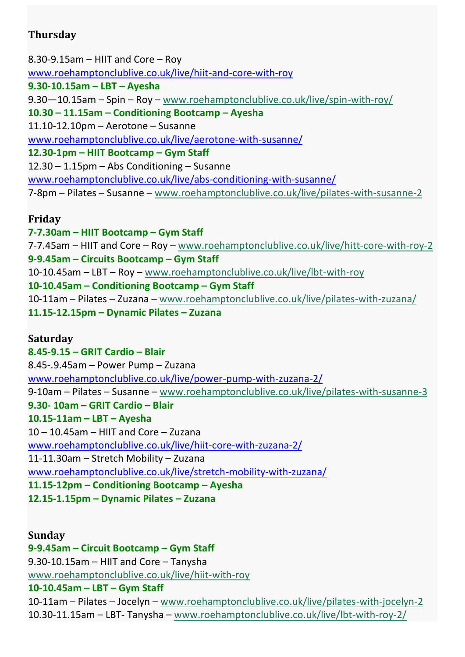# **Thursday**

8.30-9.15am – HIIT and Core – Roy [www.roehamptonclublive.co.uk/live/hiit-and-core-with-roy](http://www.roehamptonclublive.co.uk/live/hiit-and-core-with-roy) **9.30-10.15am – LBT – Ayesha** 9.30—10.15am – Spin – Roy – [www.roehamptonclublive.co.uk/live/spin-with-roy/](https://www.roehamptonclublive.co.uk/live/spin-with-roy/) **10.30 – 11.15am – Conditioning Bootcamp – Ayesha** 11.10-12.10pm – Aerotone – Susanne [www.roehamptonclublive.co.uk/live/aerotone-with-susanne/](http://www.roehamptonclublive.co.uk/live/aerotone-with-susanne/) **12.30-1pm – HIIT Bootcamp – Gym Staff** 12.30 – 1.15pm – Abs Conditioning – Susanne [www.roehamptonclublive.co.uk/live/abs-conditioning-with-susanne/](http://www.roehamptonclublive.co.uk/live/abs-conditioning-with-susanne/) 7-8pm – Pilates – Susanne – [www.roehamptonclublive.co.uk/live/pilates-with-susanne-2](https://www.roehamptonclublive.co.uk/live/pilates-with-susanne-2)

#### **Friday**

**7-7.30am – HIIT Bootcamp – Gym Staff** 7-7.45am – HIIT and Core – Roy – [www.roehamptonclublive.co.uk/live/hitt-core-with-roy-2](https://www.roehamptonclublive.co.uk/live/hitt-core-with-roy-2) **9-9.45am – Circuits Bootcamp – Gym Staff** 10-10.45am – LBT – Roy – [www.roehamptonclublive.co.uk/live/lbt-with-roy](https://www.roehamptonclublive.co.uk/live/lbt-with-roy) **10-10.45am – Conditioning Bootcamp – Gym Staff** 10-11am – Pilates – Zuzana – [www.roehamptonclublive.co.uk/live/pilates-with-zuzana/](https://www.roehamptonclublive.co.uk/live/pilates-with-zuzana/) **11.15-12.15pm – Dynamic Pilates – Zuzana**

#### **Saturday**

**8.45-9.15 – GRIT Cardio – Blair** 8.45-.9.45am – Power Pump – Zuzana [www.roehamptonclublive.co.uk/live/power-pump-with-zuzana-2/](http://www.roehamptonclublive.co.uk/live/power-pump-with-zuzana-2/) 9-10am – Pilates – Susanne – [www.roehamptonclublive.co.uk/live/pilates-with-susanne-3](https://www.roehamptonclublive.co.uk/live/pilates-with-susanne-3) **9.30- 10am – GRIT Cardio – Blair 10.15-11am – LBT – Ayesha** 10 – 10.45am – HIIT and Core – Zuzana [www.roehamptonclublive.co.uk/live/hiit-core-with-zuzana-2/](http://www.roehamptonclublive.co.uk/live/hiit-core-with-zuzana-2/) 11-11.30am – Stretch Mobility – Zuzana [www.roehamptonclublive.co.uk/live/stretch-mobility-with-zuzana/](http://www.roehamptonclublive.co.uk/live/stretch-mobility-with-zuzana/) **11.15-12pm – Conditioning Bootcamp – Ayesha 12.15-1.15pm – Dynamic Pilates – Zuzana**

## **Sunday 9-9.45am – Circuit Bootcamp – Gym Staff** 9.30-10.15am – HIIT and Core – Tanysha [www.roehamptonclublive.co.uk/live/hiit-with-roy](https://www.roehamptonclublive.co.uk/live/hiit-with-roy) **10-10.45am – LBT – Gym Staff** 10-11am – Pilates – Jocelyn – [www.roehamptonclublive.co.uk/live/pilates-with-jocelyn-2](https://www.roehamptonclublive.co.uk/live/pilates-with-jocelyn-2) 10.30-11.15am – LBT- Tanysha – [www.roehamptonclublive.co.uk/live/lbt-with-roy-2/](https://www.roehamptonclublive.co.uk/live/lbt-with-roy-2/)